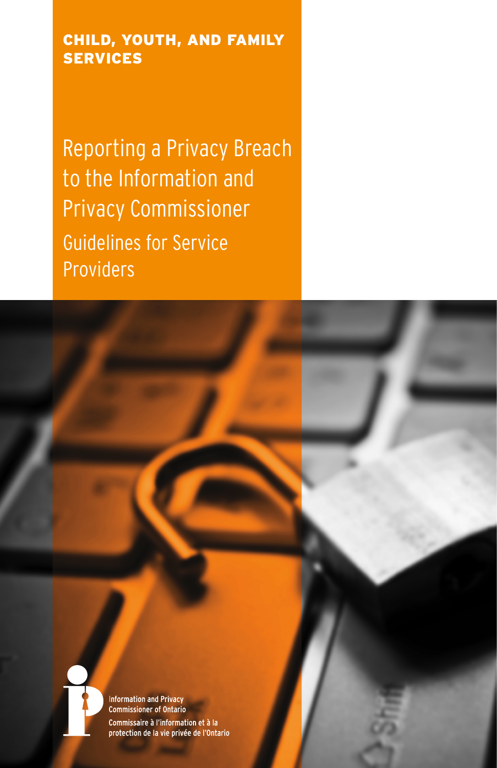#### CHILD, YOUTH, AND FAMILY **SERVICES**

Reporting a Privacy Breach to the Information and Privacy Commissioner Guidelines for Service Providers



**Information and Privacy Commissioner of Ontario** Commissaire à l'information et à la protection de la vie privée de l'Ontario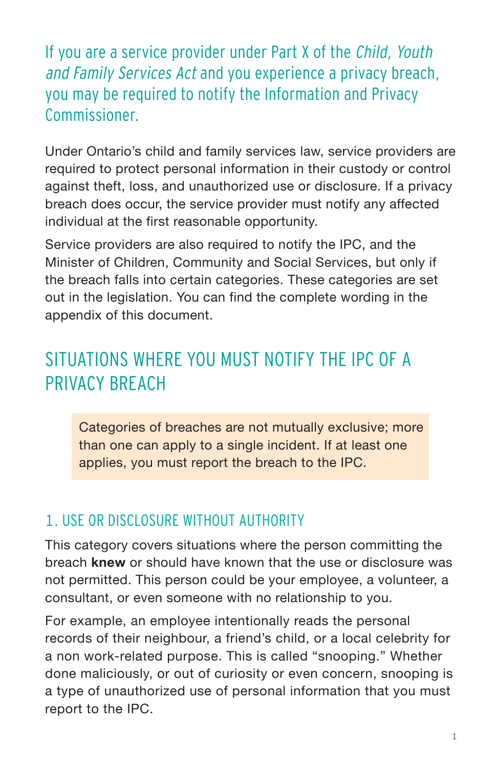If you are a service provider under Part X of the Child, Youth and Family Services Act and you experience a privacy breach, you may be required to notify the Information and Privacy Commissioner.

Under Ontario's child and family services law, service providers are required to protect personal information in their custody or control against theft, loss, and unauthorized use or disclosure. If a privacy breach does occur, the service provider must notify any affected individual at the first reasonable opportunity.

Service providers are also required to notify the IPC, and the Minister of Children, Community and Social Services, but only if the breach falls into certain categories. These categories are set out in the legislation. You can find the complete wording in the appendix of this document.

### SITUATIONS WHERE YOU MUST NOTIFY THE IPC OF A PRIVACY BREACH

Categories of breaches are not mutually exclusive; more than one can apply to a single incident. If at least one applies, you must report the breach to the IPC.

#### 1. USE OR DISCLOSURE WITHOUT AUTHORITY

This category covers situations where the person committing the breach **knew** or should have known that the use or disclosure was not permitted. This person could be your employee, a volunteer, a consultant, or even someone with no relationship to you.

For example, an employee intentionally reads the personal records of their neighbour, a friend's child, or a local celebrity for a non work-related purpose. This is called "snooping." Whether done maliciously, or out of curiosity or even concern, snooping is a type of unauthorized use of personal information that you must report to the IPC.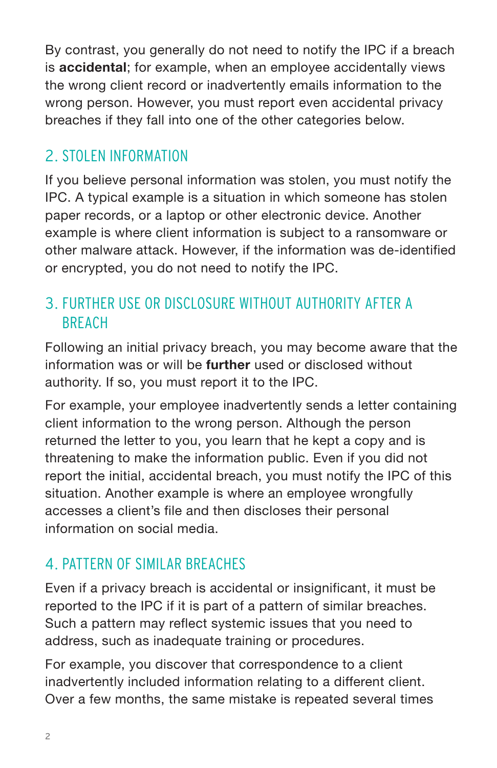By contrast, you generally do not need to notify the IPC if a breach is **accidental**; for example, when an employee accidentally views the wrong client record or inadvertently emails information to the wrong person. However, you must report even accidental privacy breaches if they fall into one of the other categories below.

#### 2. STOLEN INFORMATION

If you believe personal information was stolen, you must notify the IPC. A typical example is a situation in which someone has stolen paper records, or a laptop or other electronic device. Another example is where client information is subject to a ransomware or other malware attack. However, if the information was de-identified or encrypted, you do not need to notify the IPC.

### 3. FURTHER USE OR DISCLOSURE WITHOUT AUTHORITY AFTER A BREACH

Following an initial privacy breach, you may become aware that the information was or will be **further** used or disclosed without authority. If so, you must report it to the IPC.

For example, your employee inadvertently sends a letter containing client information to the wrong person. Although the person returned the letter to you, you learn that he kept a copy and is threatening to make the information public. Even if you did not report the initial, accidental breach, you must notify the IPC of this situation. Another example is where an employee wrongfully accesses a client's file and then discloses their personal information on social media.

#### 4. PATTERN OF SIMILAR BREACHES

Even if a privacy breach is accidental or insignificant, it must be reported to the IPC if it is part of a pattern of similar breaches. Such a pattern may reflect systemic issues that you need to address, such as inadequate training or procedures.

For example, you discover that correspondence to a client inadvertently included information relating to a different client. Over a few months, the same mistake is repeated several times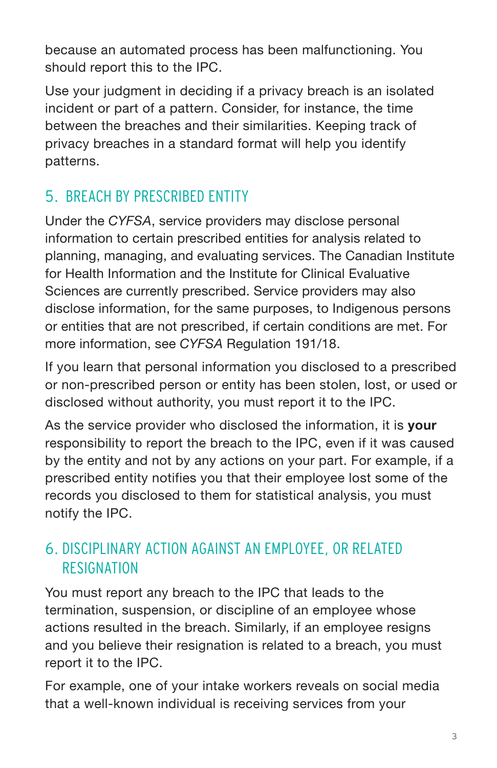because an automated process has been malfunctioning. You should report this to the IPC.

Use your judgment in deciding if a privacy breach is an isolated incident or part of a pattern. Consider, for instance, the time between the breaches and their similarities. Keeping track of privacy breaches in a standard format will help you identify patterns.

### 5. BREACH BY PRESCRIBED ENTITY

Under the *CYFSA*, service providers may disclose personal information to certain prescribed entities for analysis related to planning, managing, and evaluating services. The Canadian Institute for Health Information and the Institute for Clinical Evaluative Sciences are currently prescribed. Service providers may also disclose information, for the same purposes, to Indigenous persons or entities that are not prescribed, if certain conditions are met. For more information, see *CYFSA* Regulation 191/18.

If you learn that personal information you disclosed to a prescribed or non-prescribed person or entity has been stolen, lost, or used or disclosed without authority, you must report it to the IPC.

As the service provider who disclosed the information, it is **your** responsibility to report the breach to the IPC, even if it was caused by the entity and not by any actions on your part. For example, if a prescribed entity notifies you that their employee lost some of the records you disclosed to them for statistical analysis, you must notify the IPC.

#### 6. DISCIPLINARY ACTION AGAINST AN EMPLOYEE, OR RELATED RESIGNATION

You must report any breach to the IPC that leads to the termination, suspension, or discipline of an employee whose actions resulted in the breach. Similarly, if an employee resigns and you believe their resignation is related to a breach, you must report it to the IPC.

For example, one of your intake workers reveals on social media that a well-known individual is receiving services from your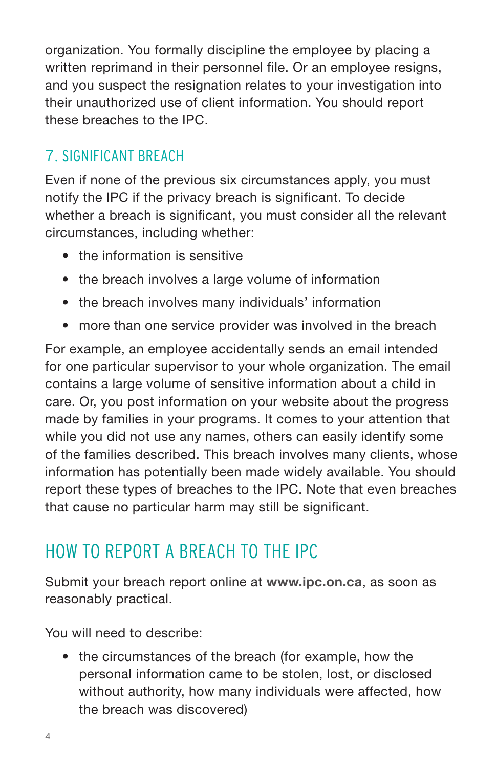organization. You formally discipline the employee by placing a written reprimand in their personnel file. Or an employee resigns, and you suspect the resignation relates to your investigation into their unauthorized use of client information. You should report these breaches to the IPC.

### 7. SIGNIFICANT BREACH

Even if none of the previous six circumstances apply, you must notify the IPC if the privacy breach is significant. To decide whether a breach is significant, you must consider all the relevant circumstances, including whether:

- the information is sensitive
- the breach involves a large volume of information
- the breach involves many individuals' information
- more than one service provider was involved in the breach

For example, an employee accidentally sends an email intended for one particular supervisor to your whole organization. The email contains a large volume of sensitive information about a child in care. Or, you post information on your website about the progress made by families in your programs. It comes to your attention that while you did not use any names, others can easily identify some of the families described. This breach involves many clients, whose information has potentially been made widely available. You should report these types of breaches to the IPC. Note that even breaches that cause no particular harm may still be significant.

# HOW TO REPORT A BREACH TO THE IPC

Submit your breach report online at **www.ipc.on.ca**, as soon as reasonably practical.

You will need to describe:

• the circumstances of the breach (for example, how the personal information came to be stolen, lost, or disclosed without authority, how many individuals were affected, how the breach was discovered)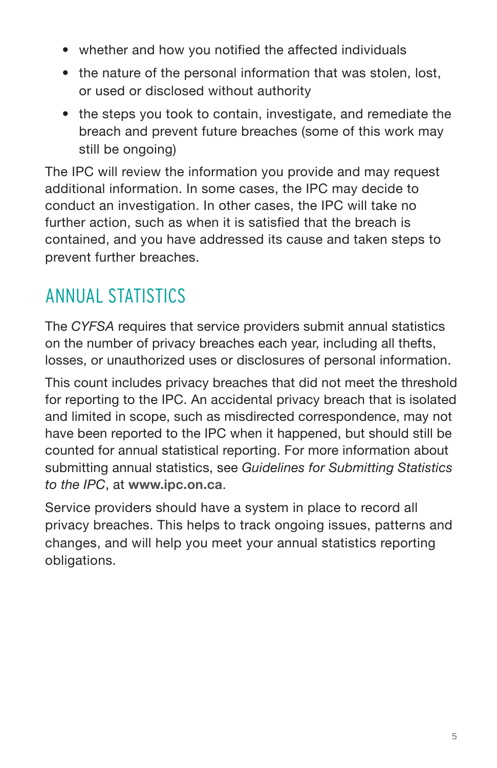- whether and how you notified the affected individuals
- the nature of the personal information that was stolen, lost, or used or disclosed without authority
- the steps you took to contain, investigate, and remediate the breach and prevent future breaches (some of this work may still be ongoing)

The IPC will review the information you provide and may request additional information. In some cases, the IPC may decide to conduct an investigation. In other cases, the IPC will take no further action, such as when it is satisfied that the breach is contained, and you have addressed its cause and taken steps to prevent further breaches.

# ANNUAL STATISTICS

The *CYFSA* requires that service providers submit annual statistics on the number of privacy breaches each year, including all thefts, losses, or unauthorized uses or disclosures of personal information.

This count includes privacy breaches that did not meet the threshold for reporting to the IPC. An accidental privacy breach that is isolated and limited in scope, such as misdirected correspondence, may not have been reported to the IPC when it happened, but should still be counted for annual statistical reporting. For more information about submitting annual statistics, see *Guidelines for Submitting Statistics to the IPC*, at **www.ipc.on.ca**.

Service providers should have a system in place to record all privacy breaches. This helps to track ongoing issues, patterns and changes, and will help you meet your annual statistics reporting obligations.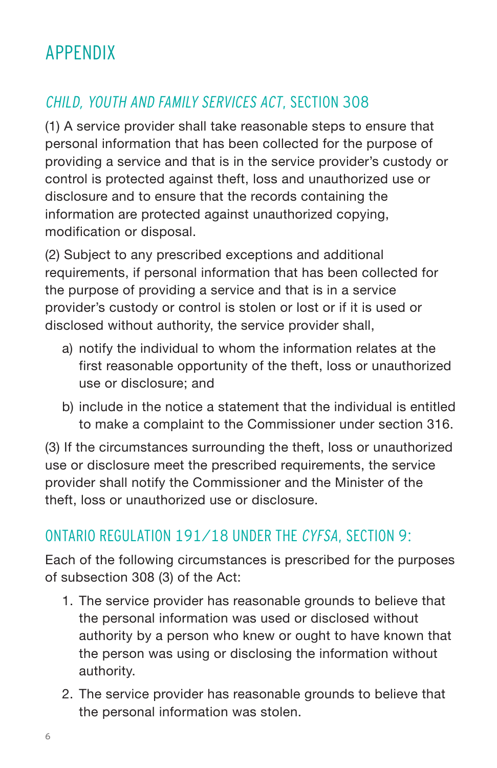## APPENDIX

### CHILD, YOUTH AND FAMILY SERVICES ACT, SECTION 308

(1) A service provider shall take reasonable steps to ensure that personal information that has been collected for the purpose of providing a service and that is in the service provider's custody or control is protected against theft, loss and unauthorized use or disclosure and to ensure that the records containing the information are protected against unauthorized copying, modification or disposal.

(2) Subject to any prescribed exceptions and additional requirements, if personal information that has been collected for the purpose of providing a service and that is in a service provider's custody or control is stolen or lost or if it is used or disclosed without authority, the service provider shall,

- a) notify the individual to whom the information relates at the first reasonable opportunity of the theft, loss or unauthorized use or disclosure; and
- b) include in the notice a statement that the individual is entitled to make a complaint to the Commissioner under section 316.

(3) If the circumstances surrounding the theft, loss or unauthorized use or disclosure meet the prescribed requirements, the service provider shall notify the Commissioner and the Minister of the theft, loss or unauthorized use or disclosure.

#### ONTARIO REGULATION 191/18 UNDER THE CYFSA, SECTION 9:

Each of the following circumstances is prescribed for the purposes of subsection 308 (3) of the Act:

- 1. The service provider has reasonable grounds to believe that the personal information was used or disclosed without authority by a person who knew or ought to have known that the person was using or disclosing the information without authority.
- 2. The service provider has reasonable grounds to believe that the personal information was stolen.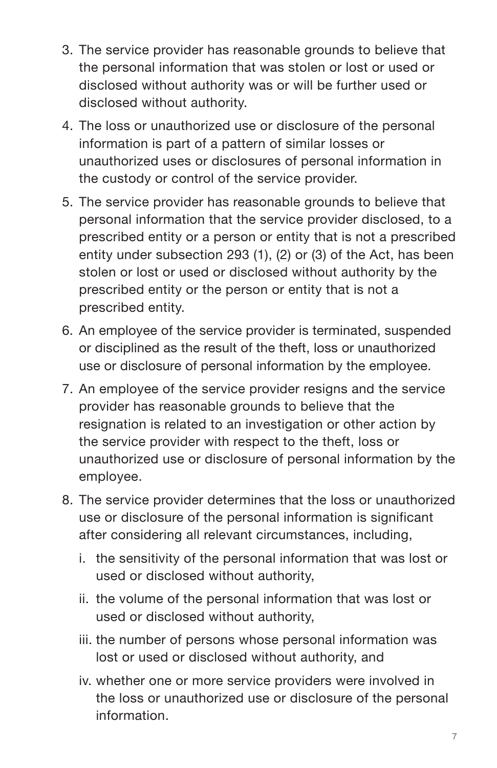- 3. The service provider has reasonable grounds to believe that the personal information that was stolen or lost or used or disclosed without authority was or will be further used or disclosed without authority.
- 4. The loss or unauthorized use or disclosure of the personal information is part of a pattern of similar losses or unauthorized uses or disclosures of personal information in the custody or control of the service provider.
- 5. The service provider has reasonable grounds to believe that personal information that the service provider disclosed, to a prescribed entity or a person or entity that is not a prescribed entity under subsection 293 (1), (2) or (3) of the Act, has been stolen or lost or used or disclosed without authority by the prescribed entity or the person or entity that is not a prescribed entity.
- 6. An employee of the service provider is terminated, suspended or disciplined as the result of the theft, loss or unauthorized use or disclosure of personal information by the employee.
- 7. An employee of the service provider resigns and the service provider has reasonable grounds to believe that the resignation is related to an investigation or other action by the service provider with respect to the theft, loss or unauthorized use or disclosure of personal information by the employee.
- 8. The service provider determines that the loss or unauthorized use or disclosure of the personal information is significant after considering all relevant circumstances, including,
	- i. the sensitivity of the personal information that was lost or used or disclosed without authority,
	- ii. the volume of the personal information that was lost or used or disclosed without authority,
	- iii. the number of persons whose personal information was lost or used or disclosed without authority, and
	- iv. whether one or more service providers were involved in the loss or unauthorized use or disclosure of the personal information.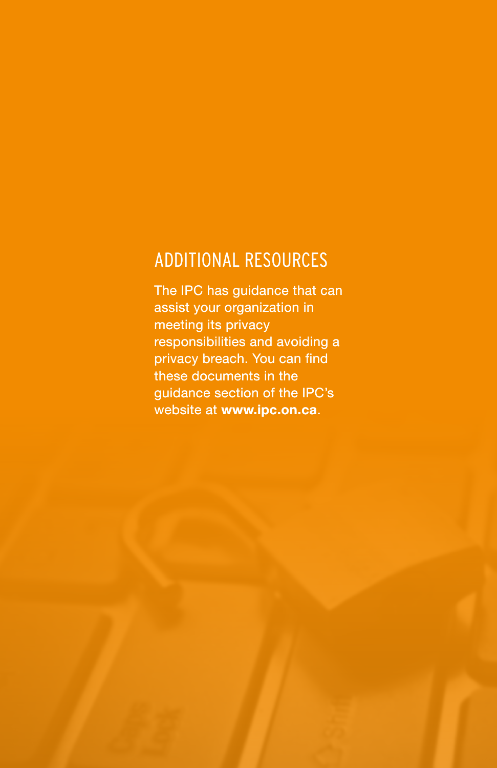### ADDITIONAL RESOURCES

The IPC has guidance that can assist your organization in meeting its privacy responsibilities and avoiding a privacy breach. You can find these documents in the guidance section of the IPC's website at **www.ipc.on.ca**.